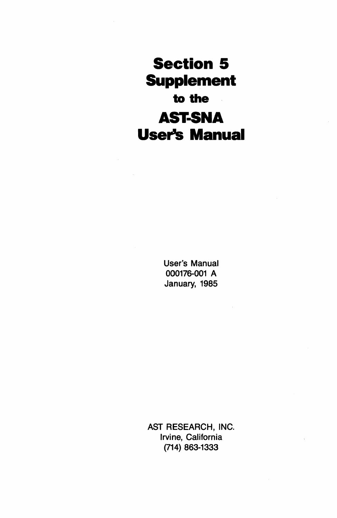**Section 5 Supplement to the AST-SNA User's Manual** 

> User's Manual 000176-001 A January, 1985

AST RESEARCH, INC. Irvine, California (714) 863-1333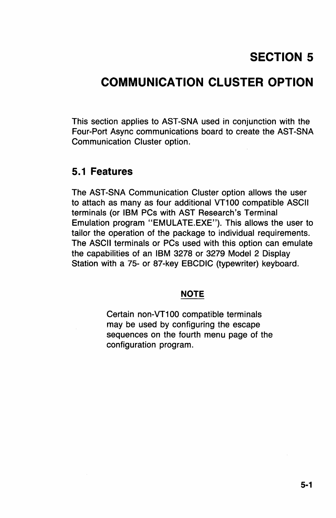# **SECTION 5**

# **COMMUNICATION CLUSTER OPTION**

This section applies to AST-SNA used in conjunction with the Four-Port Async communications board to create the AST-SNA Communication Cluster option.

### **5.1 Features**

The AST-SNA Communication Cluster option allows the user to attach as many as four additional VT100 compatible ASCII terminals (or IBM PCs with AST Research's Terminal Emulation program "EMULATE.EXE"). This allows the user to tailor the operation of the package to individual requirements. The ASCII terminals or PCs used with this option can emulate the capabilities of an IBM 3278 or 3279 Model 2 Display Station with a 75- or 87-key EBCDIC (typewriter) keyboard.

#### **NOTE**

Certain non-VT100 compatible terminals may be used by configuring the escape sequences on the fourth menu page of the configuration program.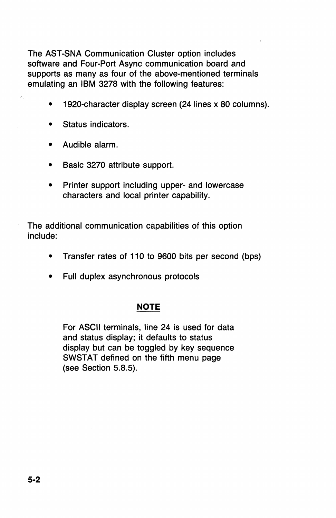The AST-SNA Communication Cluster option includes software and Four-Port Async communication board and supports as many as four of the above-mentioned terminals emulating an IBM 3278 with the following features:

- 1920-character display screen (24 lines x 80 columns).
- Status indicators.
- Audible alarm.
- Basic 3270 attribute support.
- Printer support including upper- and lowercase characters and local printer capability.

The additional communication capabilities of this option include:

- Transfer rates of 110 to 9600 bits per second (bps)
- Full duplex asynchronous protocols

### **NOTE**

For ASCII terminals, line 24 is used for data and status display; it defaults to status display but can be toggled by key sequence SWSTAT defined on the fifth menu page (see Section 5.8.5).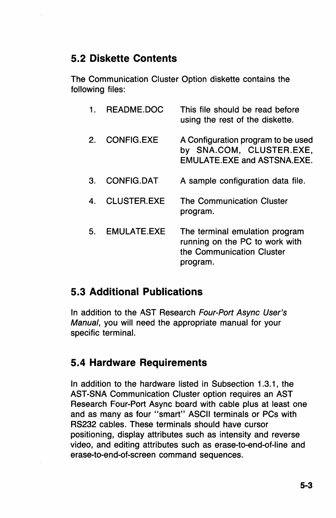## **5.2 Diskette Contents**

The Communication Cluster Option diskette contains the following files:

|    | README.DOC         | This file should be read before<br>using the rest of the diskette.                                        |
|----|--------------------|-----------------------------------------------------------------------------------------------------------|
| 2. | <b>CONFIG.EXE</b>  | A Configuration program to be used<br>by SNA.COM, CLUSTER.EXE,<br><b>EMULATE.EXE and ASTSNA.EXE.</b>      |
| З. | <b>CONFIG.DAT</b>  | A sample configuration data file.                                                                         |
| 4. | <b>CLUSTER.EXE</b> | The Communication Cluster<br>program.                                                                     |
| 5. | EMULATE EXE        | The terminal emulation program<br>running on the PC to work with<br>the Communication Cluster<br>program. |

## **5.3 Additional Publications**

In addition to the AST Research Four-Port Async User's Manual, you will need the appropriate manual for your specific terminal.

## **5.4 Hardware Requirements**

In addition to the hardware listed in Subsection 1.3.1, the AST-SNA Communication Cluster option requires an AST Research Four-Port Async board with cable plus at least one and as many as four "smart" ASCII terminals or PCs with RS232 cables. These terminals should have cursor positioning, display attributes such as intensity and reverse video, and editing attributes such as erase-to-end-of-line and erase-to-end-of-screen command sequences.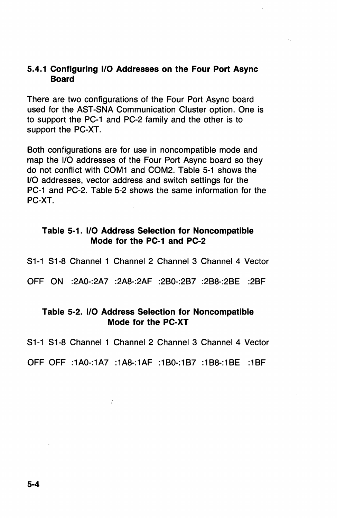### 5.4.1 Configuring I/O Addresses on the Four Port Async **Board**

There are two configurations of the Four Port Async board used for the A8T-8NA Communication Cluster option. One is to support the PC-1 and PC-2 family and the other is to support the PC-XT.

Both configurations are for use in noncompatible mode and map the 1/0 addresses of the Four Port Async board so they do not conflict with COM1 and COM2. Table 5-1 shows the 1/0 addresses, vector address and switch settings for the PC-1 and PC-2. Table 5-2 shows the same information for the PC-XT.

#### Table 5-1. 1/0 Address Selection for Noncompatible Mode for the PC-1 and PC-2

81-1 81-8 Channel 1 Channel 2 Channel 3 Channel 4 Vector

OFF ON :2AO-:2A7 :2A8-:2AF :280-:287 :288-:28E :28F

### Table 5-2. I/O Address Selection for Noncompatible Mode for the PC-XT

81-1 81-8 Channel 1 Channel 2 Channel 3 Channel 4 Vector

OFF OFF :1AO-:1A7 :1A8-:1AF :180-:187 :188-:18E :18F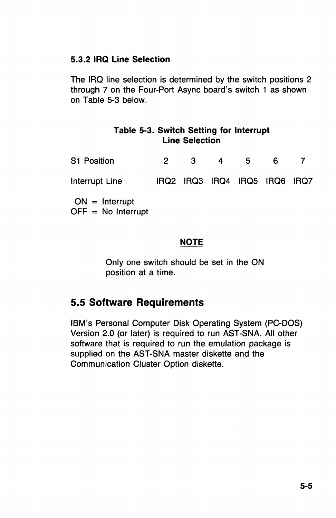### 5.3.2 IRQ Line Selection

The IRO line selection is determined by the switch positions 2 through 7 on the Four-Port Async board's switch 1 as shown on Table 5-3 below.

### Table 5-3. Switch Setting for Interrupt Line Selection

| <b>S1 Position</b> | 2. | З. | 4 | 5                             | 6 |  |
|--------------------|----|----|---|-------------------------------|---|--|
| Interrupt Line     |    |    |   | IRQ2 IRQ3 IRQ4 IRQ5 IRQ6 IRQ7 |   |  |
| $ON =$ Interrupt   |    |    |   |                               |   |  |

 $OFF = No$  Interrupt

### NOTE

Only one switch should be set in the ON position at a time.

## 5.5 Software Requirements

IBM's Personal Computer Disk Operating System (PC-DOS) Version 2.0 (or later) is required to run AST-SNA. All other software that is required to run the emulation package is supplied on the AST-SNA master diskette and the Communication Cluster Option diskette.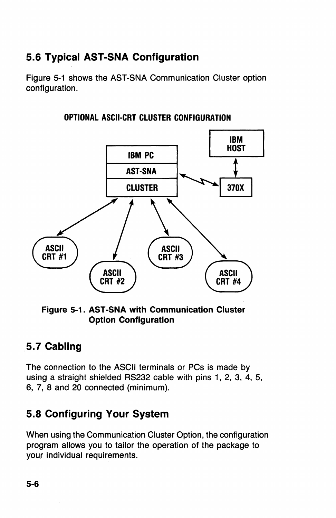# 5.6 Typical AST -SNA Configuration

Figure 5-1 shows the AST-SNA Communication Cluster option configuration.



OPTIONAL ASCII-CRT CLUSTER CONFIGURATION

### Figure 5-1. AST-SNA with Communication Cluster Option Configuration

## 5.7 Cabling

The connection to the ASCII terminals or PCs is made by using a straight shielded RS232 cable with pins 1, 2, 3, 4, 5, 6, 7, 8 and 20 connected (minimum).

## 5.8 Configuring Your System

When using the Communication Cluster Option, the configuration program allows you to tailor the operation of the package to your individual requirements.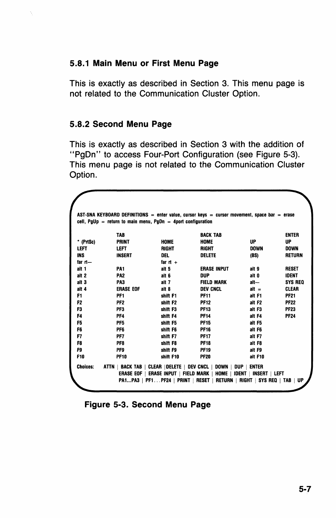### 5.8.1 Main Menu or First Menu Page

This is exactly as described in Section 3. This menu page is not related to the Communication Cluster Option.

### 5.8.2 Second Menu Page

This is exactly as described in Section 3 with the addition of "PgOn" to access Four-Port Configuration (see Figure 5-3). This menu page is not related to the Communication Cluster Option.

|                 | TAB              |                      | <b>BACK TAB</b>    |             | <b>ENTER</b>   |
|-----------------|------------------|----------------------|--------------------|-------------|----------------|
| * (PrtSc)       | <b>PRINT</b>     | <b>HOME</b>          | <b>HOME</b>        | UP          | UP             |
| LEFT            | LEFT             | <b>RIGHT</b>         | <b>RIGHT</b>       | <b>DOWN</b> | <b>DOWN</b>    |
| <b>INS</b>      | INSERT           | DEL.                 | <b>DELETE</b>      | (BS)        | <b>RETURN</b>  |
| $far$ $-$       |                  | far rt $+$           |                    |             |                |
| alt 1           | PA <sub>1</sub>  | alt 5                | <b>ERASE INPUT</b> | ait 9       | <b>RESET</b>   |
| alt 2           | PA <sub>2</sub>  | alt 6                | DUP                | alt O       | <b>IDENT</b>   |
| alt 3           | PA3              | alt 7                | <b>FIELD MARK</b>  | alt—        | <b>SYS REQ</b> |
| alt 4           | <b>ERASE EOF</b> | alt 8                | <b>DEV CNCL</b>    | $alt =$     | <b>CLEAR</b>   |
| F1              | PF1              | shift F1             | <b>PF11</b>        | alt F1      | <b>PF21</b>    |
| F <sub>2</sub>  | PF <sub>2</sub>  | shift F <sub>2</sub> | <b>PF12</b>        | alt F2      | PF 22          |
| F3              | PF3              | shift F3             | <b>PF13</b>        | alt F3      | <b>PF23</b>    |
| F4              | PF <sub>4</sub>  | shift F4             | <b>PF14</b>        | alt F4      | <b>PF24</b>    |
| F5              | PF <sub>5</sub>  | shift F5             | <b>PF15</b>        | alt F5      |                |
| F6              | PF <sub>6</sub>  | shift F6             | <b>PF16</b>        | alt F6      |                |
| F7              | PF7              | shift F7             | <b>PF17</b>        | alt F7      |                |
| F8              | PF8              | shift F8             | <b>PF18</b>        | alt F8      |                |
| F9              | PF9              | shift F9             | <b>PF19</b>        | alt F9      |                |
| F <sub>10</sub> | <b>PF10</b>      | shift F10            | <b>PF20</b>        | alt F10     |                |

Figure 5-3. Second Menu Page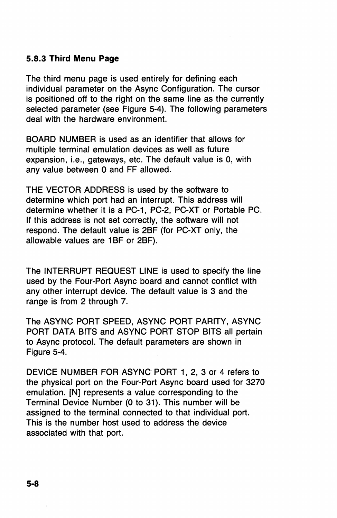### 5.8.3 Third Menu Page

The third menu page is used entirely for defining each individual parameter on the Async Configuration. The cursor is positioned off to the right on the same line as the currently selected parameter (see Figure 5-4). The following parameters deal with the hardware environment.

BOARD NUMBER is used as an identifier that allows for multiple terminal emulation devices as well as future expansion, i.e., gateways, etc. The default value is 0, with any value between 0 and FF allowed.

THE VECTOR ADDRESS is used by the software to determine which port had an interrupt. This address will determine whether it is a PC-1, PC-2, PC-XT or Portable PC. If this address is not set correctly, the software will not respond. The default value is 2BF (for PC-XT only, the allowable values are 1BF or 2BF).

The INTERRUPT REQUEST LINE is used to specify the line used by the Four-Port Async board and cannot conflict with any other interrupt device. The default value is 3 and the range is from 2 through 7.

The ASYNC PORT SPEED, ASYNC PORT PARITY, ASYNC PORT DATA BITS and ASYNC PORT STOP BITS all pertain to Async protocol. The default parameters are shown in Figure 5-4.

DEVICE NUMBER FOR ASYNC PORT 1, 2, 3 or 4 refers to the physical port on the Four-Port Async board used for 3270 emulation. IN] represents a value corresponding to the Terminal Device Number (0 to 31). This number will be assigned to the terminal connected to that individual port. This is the number host used to address the device associated with that port.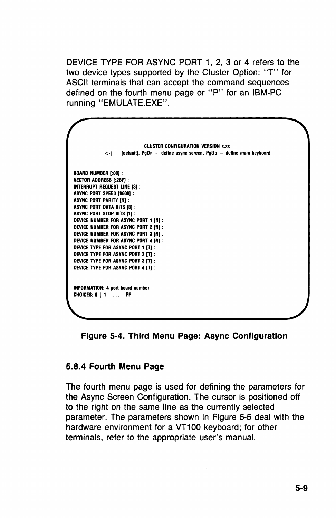DEVICE TYPE FOR ASYNC PORT 1, 2, 3 or 4 refers to the two device types supported by the Cluster Option: "T" for ASCII terminals that can accept the command sequences defined on the fourth menu page or "P" for an IBM-PC running "EMULATE.EXE".

| <b>CLUSTER CONFIGURATION VERSION x.xx</b>                                              |
|----------------------------------------------------------------------------------------|
| $\langle \cdot  $ = [default], PgDn = define async screen, PgUp = define main keyboard |
|                                                                                        |
| <b>BOARD NUMBER [:00]:</b>                                                             |
| <b>VECTOR ADDRESS [:2BF]:</b>                                                          |
| INTERRUPT REQUEST LINE [3] :                                                           |
| ASYNC PORT SPEED [9600]:                                                               |
| <b>ASYNC PORT PARITY IN1:</b>                                                          |
| <b>ASYNC PORT DATA BITS [8]:</b>                                                       |
| ASYNC PORT STOP BITS [1] :                                                             |
| DEVICE NUMBER FOR ASYNC PORT 1 IN1 :                                                   |
| DEVICE NUMBER FOR ASYNC PORT 2 [N] :                                                   |
| DEVICE NUMBER FOR ASYNC PORT 3 [N] :                                                   |
| DEVICE NUMBER FOR ASYNC PORT 4 IN1 .                                                   |
| DEVICE TYPE FOR ASYNC PORT 1 [T] :                                                     |
| DEVICE TYPE FOR ASYNC PORT 2 ITI :                                                     |
| DEVICE TYPE FOR ASYNC PORT 3 [T]:                                                      |
| DEVICE TYPE FOR ASYNC PORT 4 ITI :                                                     |
|                                                                                        |
|                                                                                        |
| INFORMATION: 4 port board number                                                       |
| CHOICES: $0 \mid 1 \mid  \mid FF$                                                      |
|                                                                                        |
|                                                                                        |
|                                                                                        |

Figure 5-4. Third Menu Page: Async Configuration

### 5.8.4 Fourth Menu Page

The fourth menu page is used for defining the parameters for the Async Screen Configuration. The cursor is positioned off to the right on the same line as the currently selected parameter. The parameters shown in Figure 5-5 deal with the hardware environment for a VT100 keyboard; for other terminals, refer to the appropriate user's manual.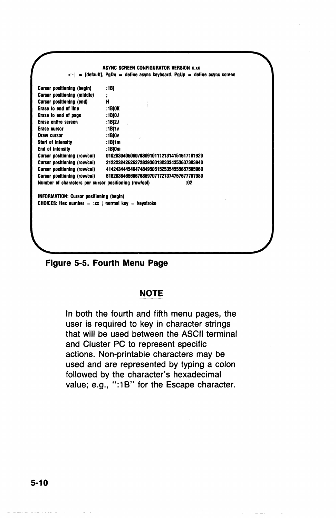| 0102030405060708091011121314151617181920<br>2122232425262728293031323334353637383940 |
|--------------------------------------------------------------------------------------|
|                                                                                      |
|                                                                                      |
|                                                                                      |
|                                                                                      |
|                                                                                      |
|                                                                                      |
|                                                                                      |
|                                                                                      |
|                                                                                      |
|                                                                                      |
|                                                                                      |
|                                                                                      |
| 4142434445464748495051525354555657585960                                             |
| 6162636465666768697071727374757677787980                                             |
| Number of characters per cursor positioning (row/col)<br>:02                         |
| <b>CHOICES:</b> Hex number = $\cdot$ xx   normal key = keystroke                     |
|                                                                                      |
|                                                                                      |
|                                                                                      |
|                                                                                      |

**Figure** 5-5. **Fourth Menu Page** 

#### **NOTE**

In both the fourth and fifth menu pages, the user is required to key in character strings that will be used between the ASCII terminal and Cluster PC to represent specific actions. Non-printable characters may be used and are represented by typing a colon followed by the character's hexadecimal value; e.g., ":1B" for the Escape character.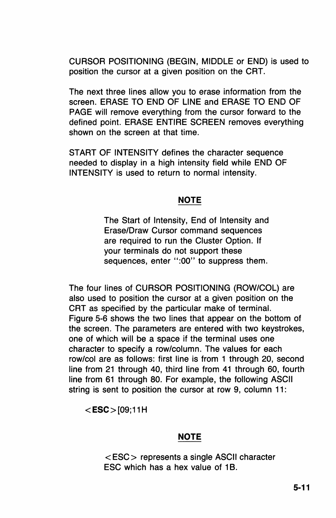CURSOR POSITIONING (BEGIN, MIDDLE or END) is used to position the cursor at a given position on the CRT.

The next three lines allow you to erase information from the screen. ERASE TO END OF LINE and ERASE TO END OF PAGE will remove everything from the cursor forward to the defined point. ERASE ENTIRE SCREEN removes everything shown on the screen at that time.

START OF INTENSITY defines the character sequence needed to display in a high intensity field while END OF INTENSITY is used to return to normal intensity.

### **NOTE**

The Start of Intensity, End of Intensity and Erase/Draw Cursor command sequences are required to run the Cluster Option. If your terminals do not support these sequences, enter ":00" to suppress them.

The four lines of CURSOR POSITIONING (ROW/COL) are also used to position the cursor at a given position on the CRT as specified by the particular make of terminal. Figure 5-6 shows the two lines that appear on the bottom of the screen. The parameters are entered with two keystrokes, one of which will be a space if the terminal uses one character to specify a row/column. The values for each row/col are as follows: first line is from 1 through 20, second line from 21 through 40, third line from 41 through 60, fourth line from 61 through 80. For example, the following ASCII string is sent to position the cursor at row 9, column 11:

 $<$ ESC $>$ [09:11H

### **NOTE**

< ESC> represents a single ASCII character ESC which has a hex value of 1B.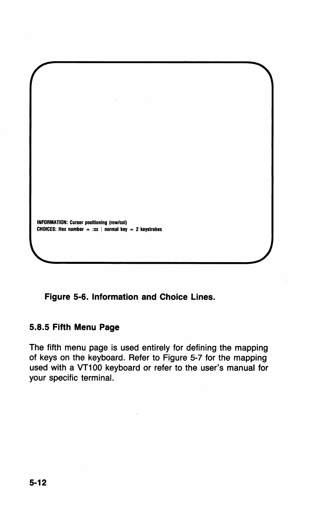

Figure 5-6. Information and Choice Lines.

### 5.8.5 Fifth Menu Page

The fifth menu page is used entirely for defining the mapping of keys on the keyboard. Refer to Figure 5-7 for the mapping used with a VT100 keyboard or refer to the user's manual for your specific terminal.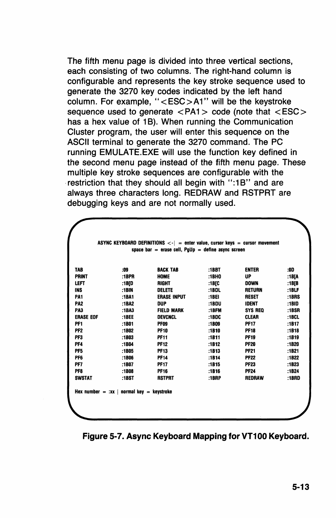The fifth menu page is divided into three vertical sections, each consisting of two columns. The right-hand column is configurable and represents the key stroke sequence used to generate the 3270 key codes indicated by the left hand column. For example, "< ESC> A 1" will be the keystroke sequence used to generate  $\langle PA1 \rangle$  code (note that  $\langle ESC \rangle$ has a hex value of 1B). When running the Communication Cluster program, the user will enter this sequence on the ASCII terminal to generate the 3270 command. The PC running EMULATE.EXE will use the function key defined in the second menu page instead of the fifth menu page. These multiple key stroke sequences are configurable with the restriction that they should all begin with ":1B" and are always three characters long. REDRAW and RSTPRT are debugging keys and are not normally used.

| TAB              | :09      | <b>BACK TAB</b>    | :1BBT         | <b>ENTER</b>   | :00   |
|------------------|----------|--------------------|---------------|----------------|-------|
| <b>PRINT</b>     | :1BPR    | <b>HOME</b>        | :1BH0         | UP             | :1B[A |
| LEFT             | :1B[D    | <b>RIGHT</b>       | :1B[C         | <b>DOWN</b>    | :1B[B |
| <b>INS</b>       | :1BIN    | DELETE             | :1BDL         | <b>RETURN</b>  | :1BLF |
| PA <sub>1</sub>  | :1BA1    | <b>ERASE INPUT</b> | :1BEI         | <b>RESET</b>   | :1BRS |
| PA <sub>2</sub>  | :1BA2    | <b>DUP</b>         | :18DU         | <b>IDENT</b>   | :1BID |
| PA3              | :1BA3    | <b>FIELD MARK</b>  | :1 <b>BFM</b> | <b>SYS REO</b> | :1BSR |
| <b>ERASE EOF</b> | $:$ 1BEE | <b>DEVCNCL</b>     | :1BDC         | <b>CLEAR</b>   | :1BCL |
| PF1              | :1801    | <b>PF09</b>        | :1809         | <b>PF17</b>    | :1B17 |
| PF <sub>2</sub>  | :1802    | <b>PF10</b>        | :1B10         | <b>PF18</b>    | :1B18 |
| PF3              | :1B03    | <b>PF11</b>        | :1811         | <b>PF19</b>    | :1819 |
| PF4              | :1B04    | <b>PF12</b>        | :1B12         | <b>PF20</b>    | :1B20 |
| PF <sub>5</sub>  | :1B05    | <b>PF13</b>        | :1813         | <b>PF21</b>    | :1B21 |
| PF <sub>6</sub>  | :1806    | <b>PF14</b>        | :1814         | <b>PF22</b>    | :1B22 |
| PF7              | :1B07    | <b>PF17</b>        | :1815         | <b>PF23</b>    | :1B23 |
| PF8              | :1808    | <b>PF16</b>        | :1B16         | <b>PF24</b>    | :1B24 |
| <b>SWSTAT</b>    | :1BST    | <b>RSTPRT</b>      | $:1$ BRP      | <b>REDRAW</b>  | :1BRD |

Figure 5-7. Async Keyboard Mapping for VT100 Keyboard.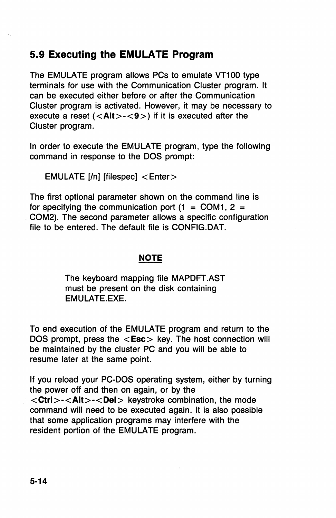## **5.9 Executing the EMULATE Program**

The EMULATE program allows PCs to emulate VT100 type terminals for use with the Communication Cluster program. It can be executed either before or after the Communication Cluster program is activated. However, it may be necessary to execute a reset  $(<$  Alt >  $-$  < 9 >  $>$ ) if it is executed after the Cluster program.

In order to execute the EMULATE program, type the following command in response to the DOS prompt:

EMULATE [/n] [filespec] <Enter>

The first optional parameter shown on the command line is for specifying the communication port  $(1 = COM1, 2 = 1)$ . COM2). The second parameter allows a specific configuration file to be entered. The default file is CONFIG.DAT.

### **NOTE**

The keyboard mapping file MAPDFT.AST must be present on the disk containing EMULATE.EXE.

To end execution of the EMULATE program and return to the DOS prompt, press the  $\langle$ **Esc** $>$  key. The host connection will be maintained by the cluster PC and you will be able to resume later at the same point.

If you reload your PC-DOS operating system, either by turning the power off and then on again, or by the <Ctrl>-<Alt>-<Del> keystroke combination, the mode command will need to be executed again. It is also possible that some application programs may interfere with the resident portion of the EMULATE program.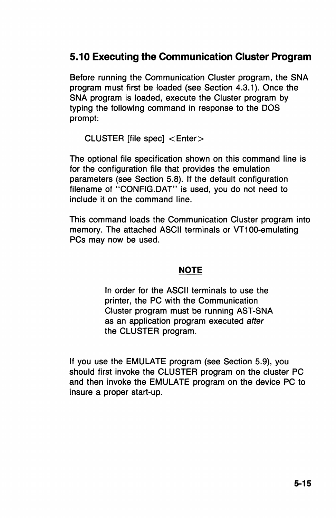## **5.10 Executing the Communication Cluster Program**

Before running the Communication Cluster program, the SNA program must first be loaded (see Section 4.3.1). Once the SNA program is loaded, execute the Cluster program by typing the following command in response to the DOS prompt:

CLUSTER [file spec] < Enter>

The optional file specification shown on this command line is for the configuration file that provides the emulation parameters (see Section 5.8). If the default configuration filename of "CONFIG.DAT" is used, you do not need to include it on the command line.

This command loads the Communication Cluster program into memory. The attached ASCII terminals or VT100-emulating PCs may now be used.

### **NOTE**

In order for the ASCII terminals to use the printer, the PC with the Communication Cluster program must be running AST-SNA as an application program executed after the CLUSTER program.

If you use the EMULATE program (see Section 5.9), you should first invoke the CLUSTER program on the cluster PC and then invoke the EMULATE program on the device PC to insure a proper start-up.